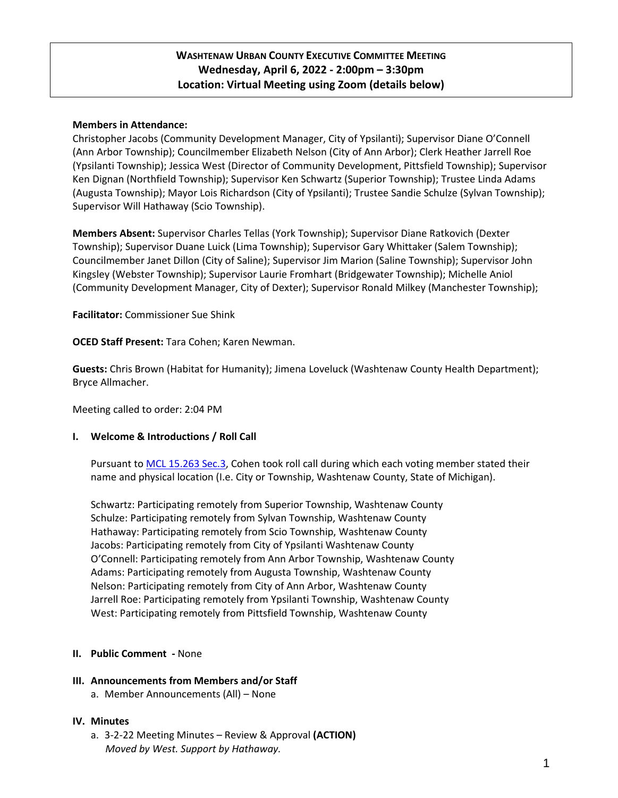# **WASHTENAW URBAN COUNTY EXECUTIVE COMMITTEE MEETING Wednesday, April 6, 2022 - 2:00pm – 3:30pm Location: Virtual Meeting using Zoom (details below)**

## **Members in Attendance:**

Christopher Jacobs (Community Development Manager, City of Ypsilanti); Supervisor Diane O'Connell (Ann Arbor Township); Councilmember Elizabeth Nelson (City of Ann Arbor); Clerk Heather Jarrell Roe (Ypsilanti Township); Jessica West (Director of Community Development, Pittsfield Township); Supervisor Ken Dignan (Northfield Township); Supervisor Ken Schwartz (Superior Township); Trustee Linda Adams (Augusta Township); Mayor Lois Richardson (City of Ypsilanti); Trustee Sandie Schulze (Sylvan Township); Supervisor Will Hathaway (Scio Township).

**Members Absent:** Supervisor Charles Tellas (York Township); Supervisor Diane Ratkovich (Dexter Township); Supervisor Duane Luick (Lima Township); Supervisor Gary Whittaker (Salem Township); Councilmember Janet Dillon (City of Saline); Supervisor Jim Marion (Saline Township); Supervisor John Kingsley (Webster Township); Supervisor Laurie Fromhart (Bridgewater Township); Michelle Aniol (Community Development Manager, City of Dexter); Supervisor Ronald Milkey (Manchester Township);

**Facilitator:** Commissioner Sue Shink

**OCED Staff Present:** Tara Cohen; Karen Newman.

**Guests:** Chris Brown (Habitat for Humanity); Jimena Loveluck (Washtenaw County Health Department); Bryce Allmacher.

Meeting called to order: 2:04 PM

#### **I. Welcome & Introductions / Roll Call**

Pursuant t[o MCL 15.263 Sec.3,](http://www.legislature.mi.gov/(S(axbjgekhx50tcsr2wezrew4a))/mileg.aspx?page=getObject&objectName=mcl-15-263) Cohen took roll call during which each voting member stated their name and physical location (I.e. City or Township, Washtenaw County, State of Michigan).

Schwartz: Participating remotely from Superior Township, Washtenaw County Schulze: Participating remotely from Sylvan Township, Washtenaw County Hathaway: Participating remotely from Scio Township, Washtenaw County Jacobs: Participating remotely from City of Ypsilanti Washtenaw County O'Connell: Participating remotely from Ann Arbor Township, Washtenaw County Adams: Participating remotely from Augusta Township, Washtenaw County Nelson: Participating remotely from City of Ann Arbor, Washtenaw County Jarrell Roe: Participating remotely from Ypsilanti Township, Washtenaw County West: Participating remotely from Pittsfield Township, Washtenaw County

#### **II. Public Comment -** None

#### **III. Announcements from Members and/or Staff**

a. Member Announcements (All) – None

#### **IV. Minutes**

a. 3-2-22 Meeting Minutes – Review & Approval **(ACTION)**  *Moved by West. Support by Hathaway.*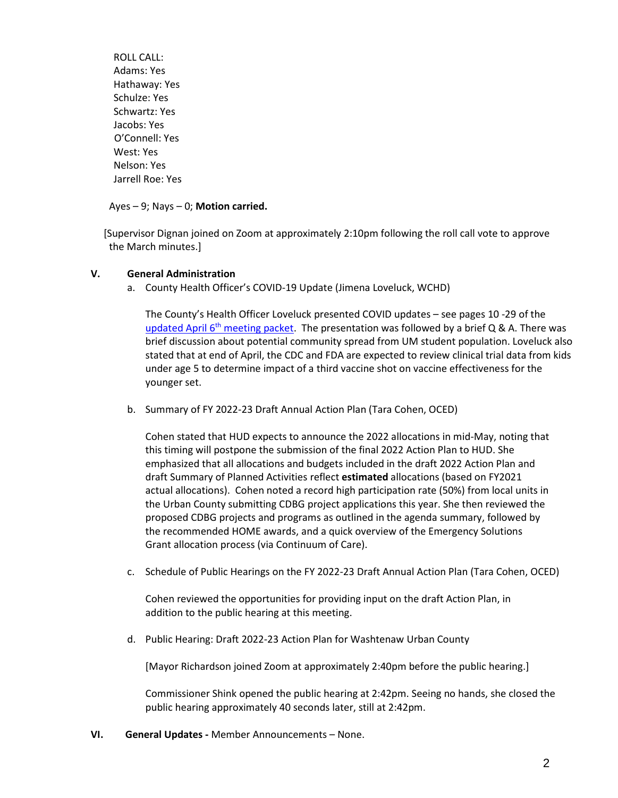ROLL CALL: Adams: Yes Hathaway: Yes Schulze: Yes Schwartz: Yes Jacobs: Yes O'Connell: Yes West: Yes Nelson: Yes Jarrell Roe: Yes

# Ayes – 9; Nays – 0; **Motion carried.**

 [Supervisor Dignan joined on Zoom at approximately 2:10pm following the roll call vote to approve the March minutes.]

# **V. General Administration**

a. County Health Officer's COVID-19 Update (Jimena Loveluck, WCHD)

The County's Health Officer Loveluck presented COVID updates – see pages 10 -29 of the updated April 6<sup>th</sup> [meeting packet.](https://www.washtenaw.org/AgendaCenter/ViewFile/Agenda/_04062022-1738) The presentation was followed by a brief Q & A. There was brief discussion about potential community spread from UM student population. Loveluck also stated that at end of April, the CDC and FDA are expected to review clinical trial data from kids under age 5 to determine impact of a third vaccine shot on vaccine effectiveness for the younger set.

b. Summary of FY 2022-23 Draft Annual Action Plan (Tara Cohen, OCED)

Cohen stated that HUD expects to announce the 2022 allocations in mid-May, noting that this timing will postpone the submission of the final 2022 Action Plan to HUD. She emphasized that all allocations and budgets included in the draft 2022 Action Plan and draft Summary of Planned Activities reflect **estimated** allocations (based on FY2021 actual allocations). Cohen noted a record high participation rate (50%) from local units in the Urban County submitting CDBG project applications this year. She then reviewed the proposed CDBG projects and programs as outlined in the agenda summary, followed by the recommended HOME awards, and a quick overview of the Emergency Solutions Grant allocation process (via Continuum of Care).

c. Schedule of Public Hearings on the FY 2022-23 Draft Annual Action Plan (Tara Cohen, OCED)

Cohen reviewed the opportunities for providing input on the draft Action Plan, in addition to the public hearing at this meeting.

d. Public Hearing: Draft 2022-23 Action Plan for Washtenaw Urban County

[Mayor Richardson joined Zoom at approximately 2:40pm before the public hearing.]

Commissioner Shink opened the public hearing at 2:42pm. Seeing no hands, she closed the public hearing approximately 40 seconds later, still at 2:42pm.

**VI. General Updates -** Member Announcements – None.